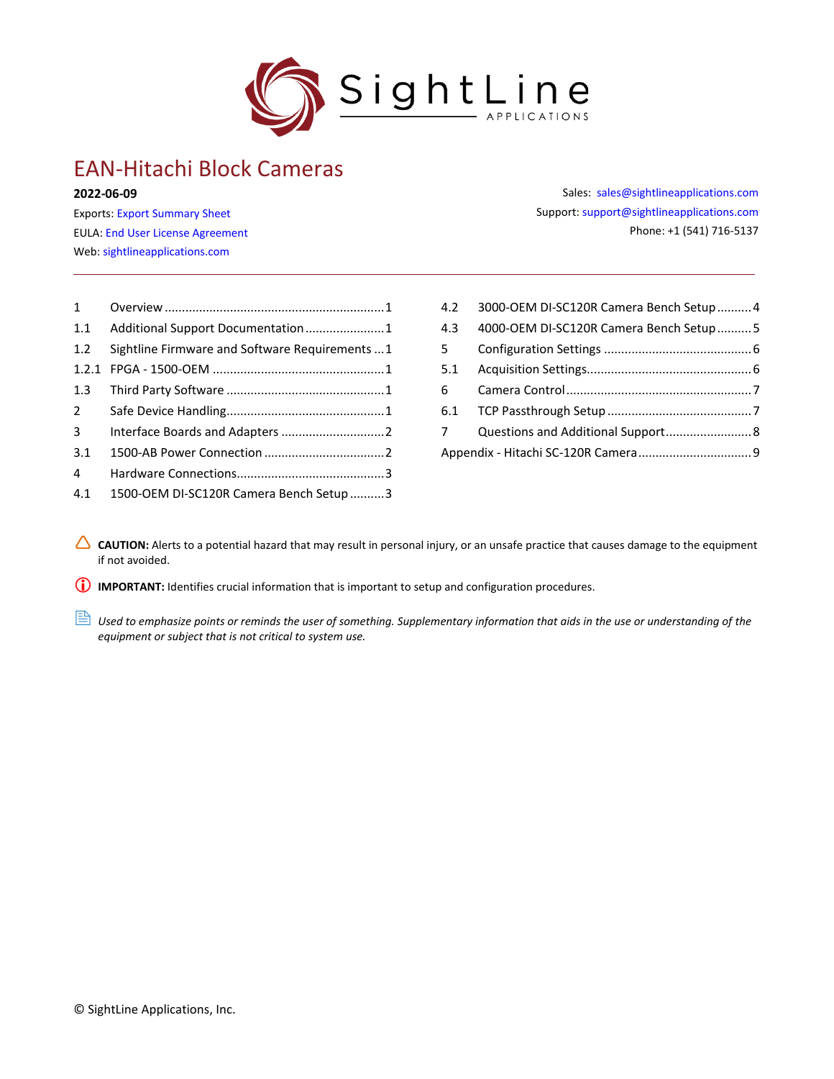

# EAN-Hitachi Block Cameras

#### **2022-06-09**

Exports: [Export Summary Sheet](https://sightlineapplications.com/wp-content/uploads/Exports-Summary.pdf) EULA[: End User License Agreement](https://sightlineapplications.com/wp-content/uploads/SightLine-Product-License.pdf) Web[: sightlineapplications.com](https://sightlineapplications.com/)

Sales: [sales@sightlineapplications.com](mailto:sales@sightlineapplications.com) Support[: support@sightlineapplications.com](mailto:support@sightlineapplications.com) Phone: +1 (541) 716-5137

| $1 \quad$      |                                                 |
|----------------|-------------------------------------------------|
| 1.1            | Additional Support Documentation1               |
| 1.2            | Sightline Firmware and Software Requirements  1 |
| 1.2.1          |                                                 |
| 1.3            |                                                 |
| $\overline{2}$ |                                                 |
| 3 <sup>1</sup> |                                                 |
| 3.1            |                                                 |
| 4              |                                                 |
| 4.1            | 1500-OEM DI-SC120R Camera Bench Setup 3         |

| 4.2         | 3000-OEM DI-SC120R Camera Bench Setup  4 |  |
|-------------|------------------------------------------|--|
| 4.3         | 4000-OEM DI-SC120R Camera Bench Setup  5 |  |
| $5 -$       |                                          |  |
| 5.1         |                                          |  |
| 6           |                                          |  |
|             |                                          |  |
| $7^{\circ}$ |                                          |  |
|             |                                          |  |

CAUTION: Alerts to a potential hazard that may result in personal injury, or an unsafe practice that causes damage to the equipment if not avoided.

**I** IMPORTANT: Identifies crucial information that is important to setup and configuration procedures.

 *Used to emphasize points or reminds the user of something. Supplementary information that aids in the use or understanding of the equipment or subject that is not critical to system use.*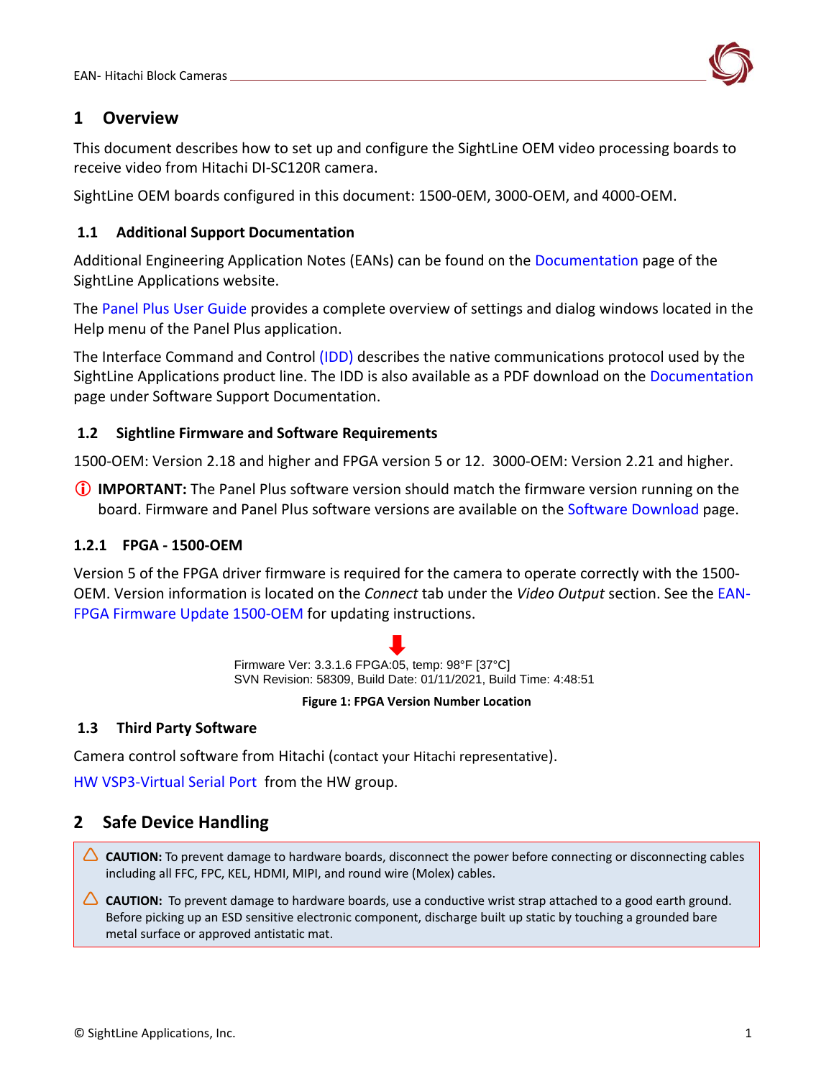

### <span id="page-1-0"></span>**1 Overview**

This document describes how to set up and configure the SightLine OEM video processing boards to receive video from Hitachi DI-SC120R camera.

SightLine OEM boards configured in this document: 1500-0EM, 3000-OEM, and 4000-OEM.

### <span id="page-1-1"></span>**1.1 Additional Support Documentation**

Additional Engineering Application Notes (EANs) can be found on the [Documentation](https://sightlineapplications.com/documentation/) page of the SightLine Applications website.

The [Panel Plus User Guide](https://sightlineapplications.com/downloads/) provides a complete overview of settings and dialog windows located in the Help menu of the Panel Plus application.

The Interface Command and Control [\(IDD\)](https://sightlineapplications.com/releases/IDD/current/) describes the native communications protocol used by the SightLine Applications product line. The IDD is also available as a PDF download on the [Documentation](https://sightlineapplications.com/documentation/) page under Software Support Documentation.

### <span id="page-1-2"></span>**1.2 Sightline Firmware and Software Requirements**

1500-OEM: Version 2.18 and higher and FPGA version 5 or 12. 3000-OEM: Version 2.21 and higher.

 **IMPORTANT:** The Panel Plus software version should match the firmware version running on the board. Firmware and Panel Plus software versions are available on the [Software Download](https://sightlineapplications.com/downloads/) page.

### <span id="page-1-3"></span>**1.2.1 FPGA - 1500-OEM**

Version 5 of the FPGA driver firmware is required for the camera to operate correctly with the 1500- OEM. Version information is located on the *Connect* tab under the *Video Output* section. See the [EAN-](http://sightlineapplications.com/wp-content/uploads/EAN-FPGA-Firmware-Update-1500-OEM.pdf)[FPGA Firmware Update 1500-OEM](http://sightlineapplications.com/wp-content/uploads/EAN-FPGA-Firmware-Update-1500-OEM.pdf) for updating instructions.

> Firmware Ver: 3.3.1.6 FPGA:05, temp: 98°F [37°C] SVN Revision: 58309, Build Date: 01/11/2021, Build Time: 4:48:51

#### **Figure 1: FPGA Version Number Location**

### <span id="page-1-4"></span>**1.3 Third Party Software**

Camera control software from Hitachi (contact your Hitachi representative).

<span id="page-1-5"></span>[HW VSP3-Virtual Serial Port](https://www.hw-group.com/software/hw-vsp3-virtual-serial-port) from the HW group.

# **2 Safe Device Handling**

- △ CAUTION: To prevent damage to hardware boards, disconnect the power before connecting or disconnecting cables including all FFC, FPC, KEL, HDMI, MIPI, and round wire (Molex) cables.
- △ CAUTION: To prevent damage to hardware boards, use a conductive wrist strap attached to a good earth ground. Before picking up an ESD sensitive electronic component, discharge built up static by touching a grounded bare metal surface or approved antistatic mat.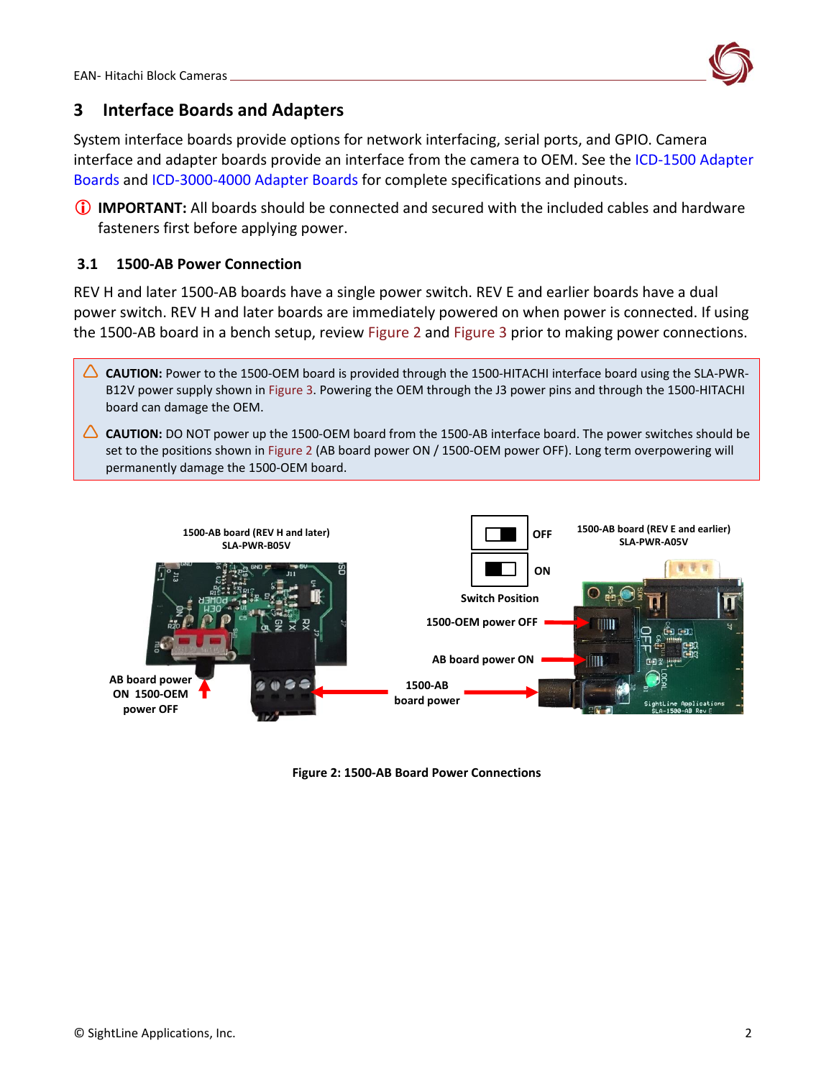

# <span id="page-2-0"></span>**3 Interface Boards and Adapters**

System interface boards provide options for network interfacing, serial ports, and GPIO. Camera interface and adapter boards provide an interface from the camera to OEM. See the [ICD-1500 Adapter](http://sightlineapplications.com/wp-content/uploads/ICD-1500-Adapter-Boards.pdf)  [Boards](http://sightlineapplications.com/wp-content/uploads/ICD-1500-Adapter-Boards.pdf) and [ICD-3000-4000 Adapter Boards](http://sightlineapplications.com/wp-content/uploads/ICD-3000-4000-Adapter-Boards.pdf) for complete specifications and pinouts.

 **IMPORTANT:** All boards should be connected and secured with the included cables and hardware fasteners first before applying power.

### <span id="page-2-1"></span>**3.1 1500-AB Power Connection**

REV H and later 1500-AB boards have a single power switch. REV E and earlier boards have a dual power switch. REV H and later boards are immediately powered on when power is connected. If using the 1500-AB board in a bench setup, review Figure 2 and Figure 3 prior to making power connections.

- **CAUTION:** Power to the 1500-OEM board is provided through the 1500-HITACHI interface board using the SLA-PWR-B12V power supply shown in Figure 3. Powering the OEM through the J3 power pins and through the 1500-HITACHI board can damage the OEM.
- **CAUTION:** DO NOT power up the 1500-OEM board from the 1500-AB interface board. The power switches should be set to the positions shown in Figure 2 (AB board power ON / 1500-OEM power OFF). Long term overpowering will permanently damage the 1500-OEM board.



**Figure 2: 1500-AB Board Power Connections**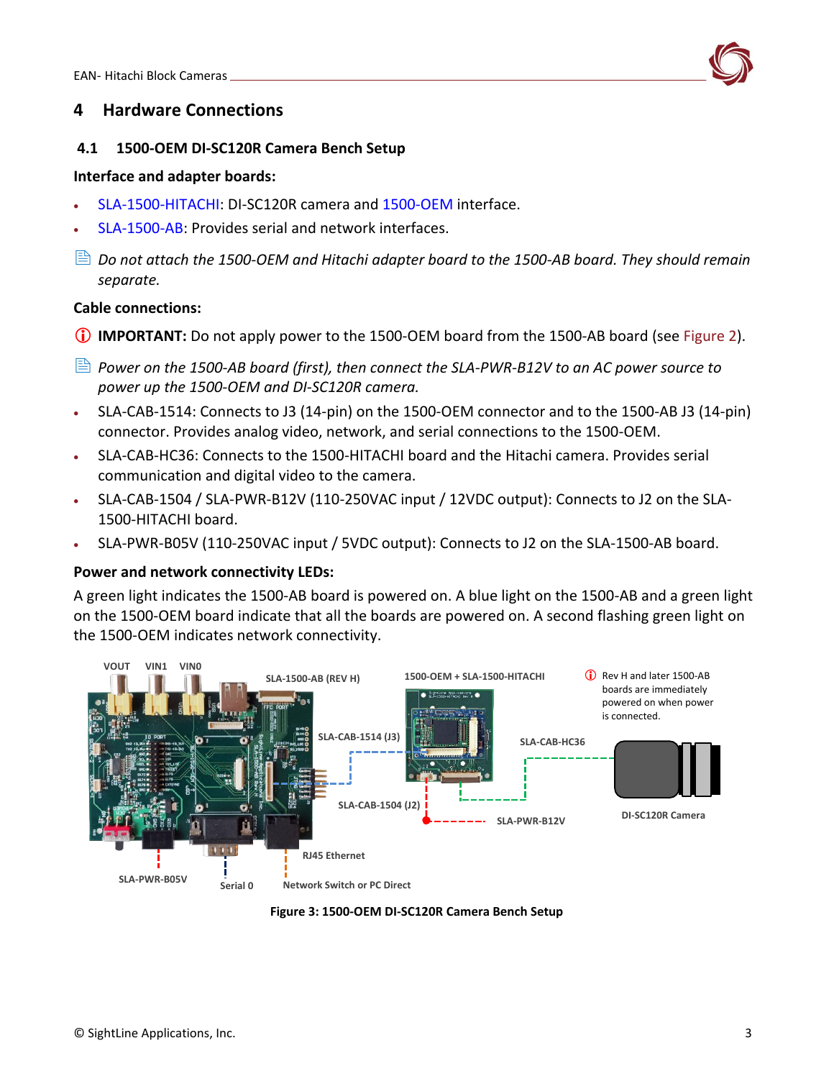

### <span id="page-3-0"></span>**4 Hardware Connections**

#### <span id="page-3-1"></span>**4.1 1500-OEM DI-SC120R Camera Bench Setup**

#### **Interface and adapter boards:**

- [SLA-1500-HITACHI:](https://sightlineapplications.com/drawings/SLA-1500-HITACHI_RevC_Dimensioned.pdf) DI-SC120R camera and [1500-OEM](https://sightlineapplications.com/drawings/SLA-1500-OEM_RevE_Dimensioned.pdf) interface.
- [SLA-1500-AB:](https://sightlineapplications.com/drawings/SLA-1500-AB_RevJ_Dimensioned.pdf) Provides serial and network interfaces.
- *Do not attach the 1500-OEM and Hitachi adapter board to the 1500-AB board. They should remain separate.*

#### **Cable connections:**

- **IMPORTANT:** Do not apply power to the 1500-OEM board from the 1500-AB board (see Figure 2).
- *Power on the 1500-AB board (first), then connect the SLA-PWR-B12V to an AC power source to power up the 1500-OEM and DI-SC120R camera.*
- SLA-CAB-1514: Connects to J3 (14-pin) on the 1500-OEM connector and to the 1500-AB J3 (14-pin) connector. Provides analog video, network, and serial connections to the 1500-OEM.
- SLA-CAB-HC36: Connects to the 1500-HITACHI board and the Hitachi camera. Provides serial communication and digital video to the camera.
- SLA-CAB-1504 / SLA-PWR-B12V (110-250VAC input / 12VDC output): Connects to J2 on the SLA-1500-HITACHI board.
- SLA-PWR-B05V (110-250VAC input / 5VDC output): Connects to J2 on the SLA-1500-AB board.

### **Power and network connectivity LEDs:**

A green light indicates the 1500-AB board is powered on. A blue light on the 1500-AB and a green light on the 1500-OEM board indicate that all the boards are powered on. A second flashing green light on the 1500-OEM indicates network connectivity.



**Figure 3: 1500-OEM DI-SC120R Camera Bench Setup**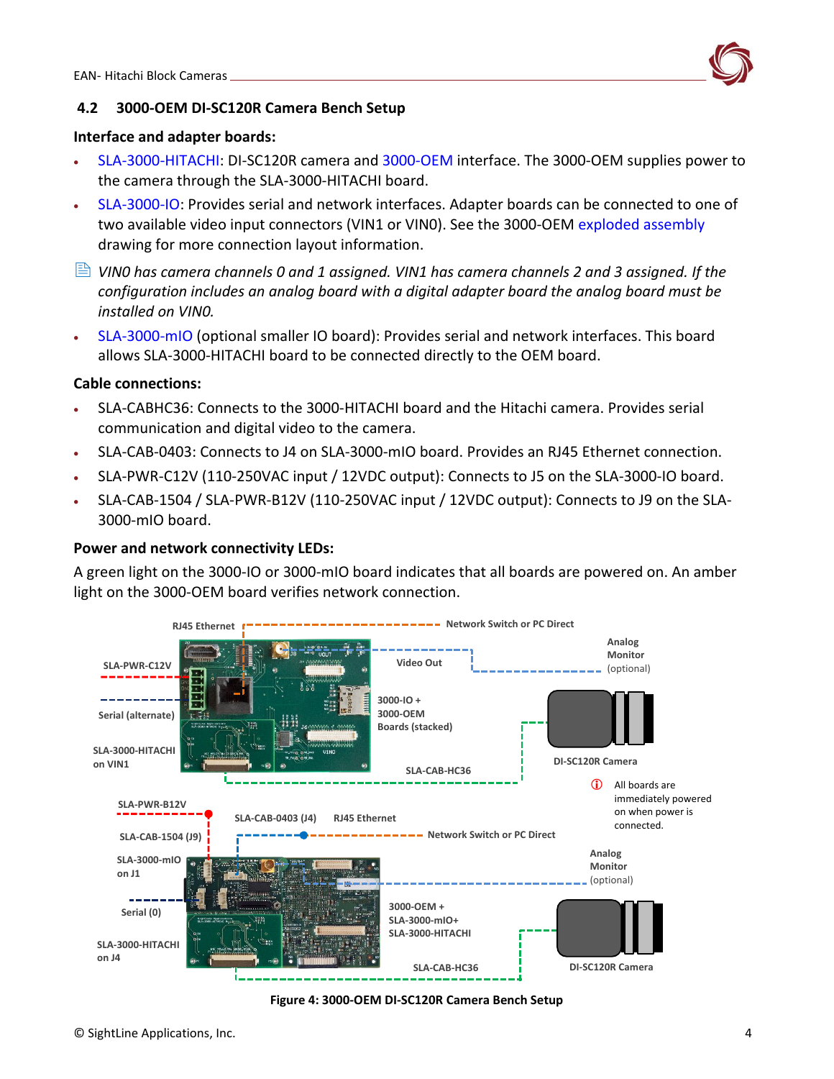

### <span id="page-4-0"></span>**4.2 3000-OEM DI-SC120R Camera Bench Setup**

#### **Interface and adapter boards:**

- [SLA-3000-HITACHI:](https://sightlineapplications.com/drawings/SLA-3000-HITACHI_Dimensioned.pdf) DI-SC120R camera and [3000-OEM](https://sightlineapplications.com/drawings/SLA-3000-OEM_RevB_Dimensioned.pdf) interface. The 3000-OEM supplies power to the camera through the SLA-3000-HITACHI board.
- [SLA-3000-IO:](https://sightlineapplications.com/drawings/SLA-3000-IO_RevD_Dimensioned.pdf) Provides serial and network interfaces. Adapter boards can be connected to one of two available video input connectors (VIN1 or VIN0). See the 3000-OEM [exploded assembly](http://sightlineapplications.com/drawings/SLA-3000-OEM_Assembly.pdf) drawing for more connection layout information.
- *VIN0 has camera channels 0 and 1 assigned. VIN1 has camera channels 2 and 3 assigned. If the configuration includes an analog board with a digital adapter board the analog board must be installed on VIN0.*
- [SLA-3000-mIO](https://sightlineapplications.com/drawings/SLA-3000-mIO_RevA_Dimensioned.pdf) (optional smaller IO board): Provides serial and network interfaces. This board allows SLA-3000-HITACHI board to be connected directly to the OEM board.

#### **Cable connections:**

- SLA-CABHC36: Connects to the 3000-HITACHI board and the Hitachi camera. Provides serial communication and digital video to the camera.
- SLA-CAB-0403: Connects to J4 on SLA-3000-mIO board. Provides an RJ45 Ethernet connection.
- SLA-PWR-C12V (110-250VAC input / 12VDC output): Connects to J5 on the SLA-3000-IO board.
- SLA-CAB-1504 / SLA-PWR-B12V (110-250VAC input / 12VDC output): Connects to J9 on the SLA-3000-mIO board.

### **Power and network connectivity LEDs:**

A green light on the 3000-IO or 3000-mIO board indicates that all boards are powered on. An amber light on the 3000-OEM board verifies network connection.



**Figure 4: 3000-OEM DI-SC120R Camera Bench Setup**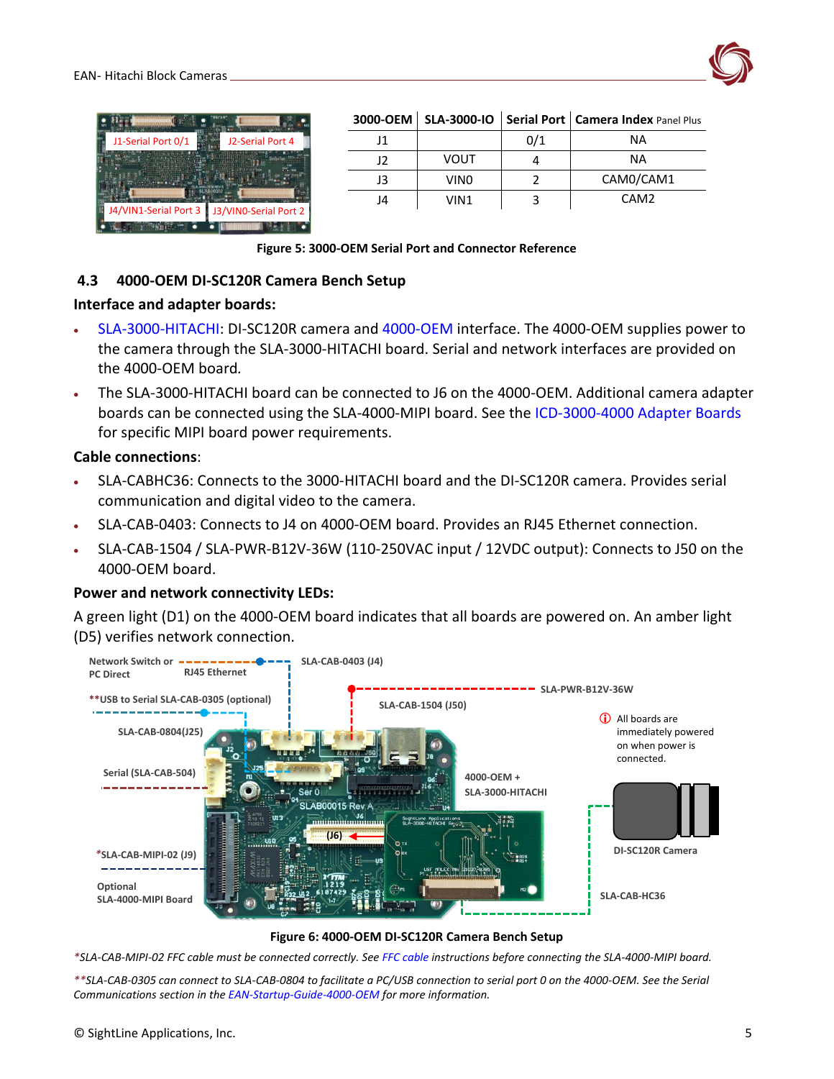

| J1-Serial Port 0/1    | J2-Serial Port 4      |
|-----------------------|-----------------------|
|                       |                       |
| J4/VIN1-Serial Port 3 | J3/VINO-Serial Port 2 |
|                       |                       |

#### **3000-OEM SLA-3000-IO Serial Port Camera Index** Panel Plus

|    |                  | 0/1 | ΝA               |
|----|------------------|-----|------------------|
| 12 | <b>VOUT</b>      |     | ΝA               |
| J3 | VIN <sub>0</sub> |     | CAM0/CAM1        |
| J4 | VIN1             |     | CAM <sub>2</sub> |

#### **Figure 5: 3000-OEM Serial Port and Connector Reference**

#### <span id="page-5-0"></span>**4.3 4000-OEM DI-SC120R Camera Bench Setup**

#### **Interface and adapter boards:**

- [SLA-3000-HITACHI:](https://sightlineapplications.com/drawings/SLA-3000-HITACHI_Dimensioned.pdf) DI-SC120R camera and [4000-OEM](https://sightlineapplications.com/drawings/4000-OEM_RevA_Dimensioned.pdf) interface. The 4000-OEM supplies power to the camera through the SLA-3000-HITACHI board. Serial and network interfaces are provided on the 4000-OEM board*.*
- The SLA-3000-HITACHI board can be connected to J6 on the 4000-OEM. Additional camera adapter boards can be connected using the SLA-4000-MIPI board. See the [ICD-3000-4000 Adapter Boards](http://sightlineapplications.com/wp-content/uploads/ICD-3000-4000-Adapter-Boards.pdf) for specific MIPI board power requirements.

#### **Cable connections**:

- SLA-CABHC36: Connects to the 3000-HITACHI board and the DI-SC120R camera. Provides serial communication and digital video to the camera.
- SLA-CAB-0403: Connects to J4 on 4000-OEM board. Provides an RJ45 Ethernet connection.
- SLA-CAB-1504 / SLA-PWR-B12V-36W (110-250VAC input / 12VDC output): Connects to J50 on the 4000-OEM board.

#### **Power and network connectivity LEDs:**

A green light (D1) on the 4000-OEM board indicates that all boards are powered on. An amber light (D5) verifies network connection.



#### **Figure 6: 4000-OEM DI-SC120R Camera Bench Setup**

*\*SLA-CAB-MIPI-02 FFC cable must be connected correctly. Se[e FFC cable](https://sightlineapplications.com/wp-content/uploads/ICD-OEM-Camera-Side-Interfaces.pdf#page=3) instructions before connecting the SLA-4000-MIPI board.*

*\*\*SLA-CAB-0305 can connect to SLA-CAB-0804 to facilitate a PC/USB connection to serial port 0 on the 4000-OEM. See the Serial Communications section in th[e EAN-Startup-Guide-4000-OEM](https://sightlineapplications.com/wp-content/uploads/EAN-Startup-Guide-4000-OEM.pdf) for more information.*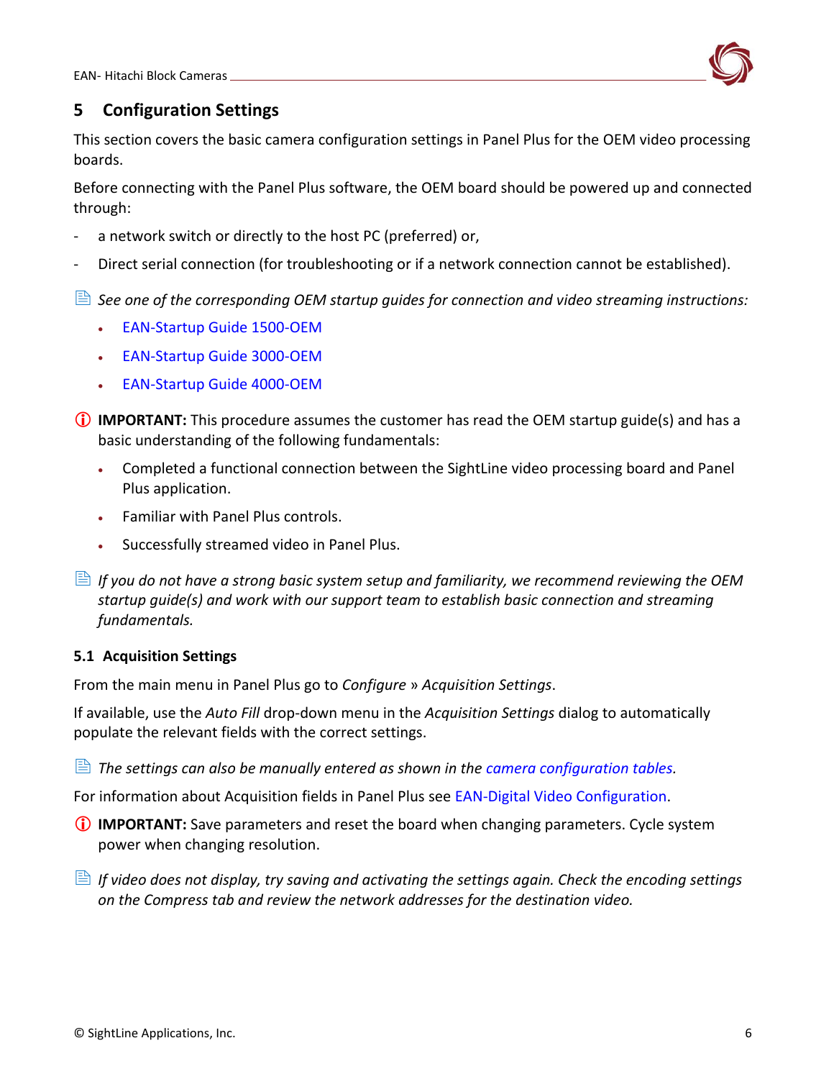

# <span id="page-6-0"></span>**5 Configuration Settings**

This section covers the basic camera configuration settings in Panel Plus for the OEM video processing boards.

Before connecting with the Panel Plus software, the OEM board should be powered up and connected through:

- a network switch or directly to the host PC (preferred) or,
- Direct serial connection (for troubleshooting or if a network connection cannot be established).
- *See one of the corresponding OEM startup guides for connection and video streaming instructions:*
	- [EAN-Startup Guide 1500-OEM](http://sightlineapplications.com/wp-content/uploads/EAN-Startup-Guide-1500-OEM.pdf)
	- [EAN-Startup Guide 3000-OEM](http://sightlineapplications.com/wp-content/uploads/EAN-Startup-Guide-3000-OEM.pdf)
	- [EAN-Startup Guide 4000-OEM](https://sightlineapplications.com/wp-content/uploads/EAN-Startup-Guide-4000-OEM.pdf)
- **IMPORTANT:** This procedure assumes the customer has read the OEM startup guide(s) and has a basic understanding of the following fundamentals:
	- Completed a functional connection between the SightLine video processing board and Panel Plus application.
	- Familiar with Panel Plus controls.
	- Successfully streamed video in Panel Plus.
- **If you do not have a strong basic system setup and familiarity, we recommend reviewing the OEM** *startup guide(s) and work with our support team to establish basic connection and streaming fundamentals.*

### <span id="page-6-1"></span>**5.1 Acquisition Settings**

From the main menu in Panel Plus go to *Configure* » *Acquisition Settings*.

If available, use the *Auto Fill* drop-down menu in the *Acquisition Settings* dialog to automatically populate the relevant fields with the correct settings.

**E** The settings can also be manually entered as shown in the [camera configuration tables.](https://sightlineapplications.com/releases/IDD/current/camera_compatibility.html)

For information about Acquisition fields in Panel Plus see [EAN-Digital Video Configuration.](http://sightlineapplications.com/wp-content/uploads/EAN-Digital-Video-Configuration.pdf)

- **IMPORTANT:** Save parameters and reset the board when changing parameters. Cycle system power when changing resolution.
- *If video does not display, try saving and activating the settings again. Check the encoding settings on the Compress tab and review the network addresses for the destination video.*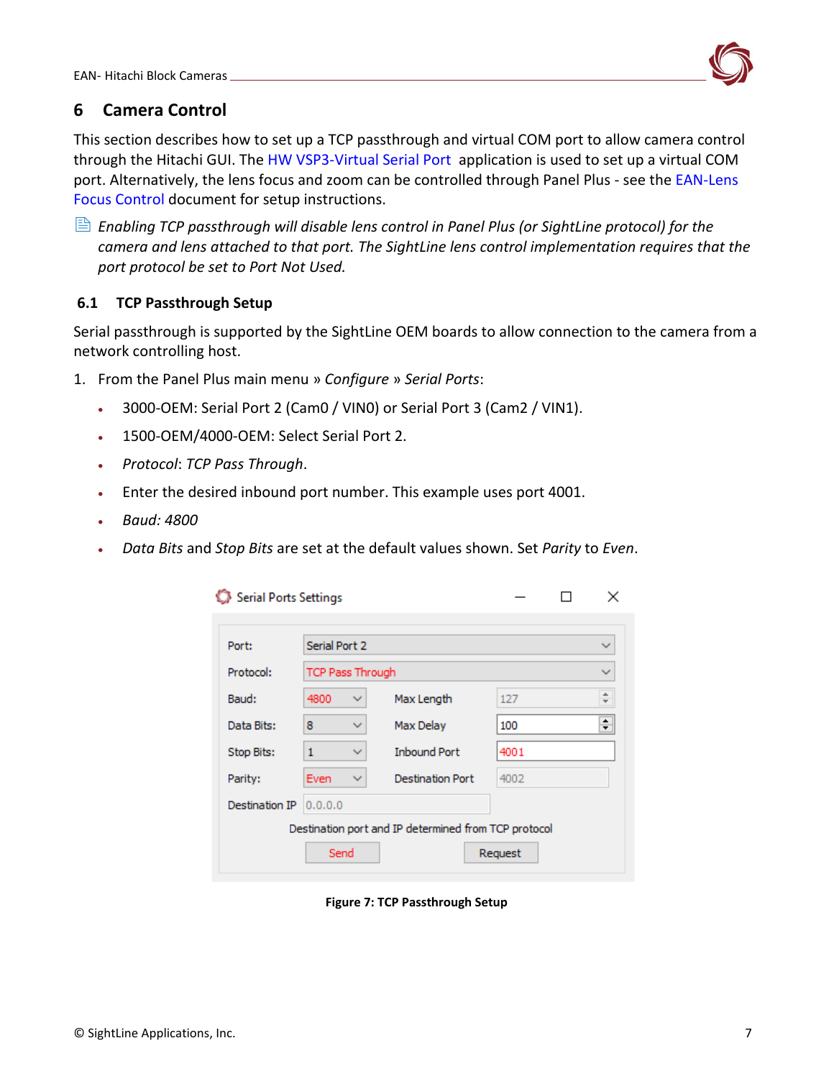

# <span id="page-7-0"></span>**6 Camera Control**

This section describes how to set up a TCP passthrough and virtual COM port to allow camera control through the Hitachi GUI. The [HW VSP3-Virtual Serial Port](https://www.hw-group.com/software/hw-vsp3-virtual-serial-port) application is used to set up a virtual COM port. Alternatively, the lens focus and zoom can be controlled through Panel Plus - see the EAN-Lens [Focus Control](http://sightlineapplications.com/wp-content/uploads/EAN-Lens-Focus-Control.pdf) document for setup instructions.

 *Enabling TCP passthrough will disable lens control in Panel Plus (or SightLine protocol) for the camera and lens attached to that port. The SightLine lens control implementation requires that the port protocol be set to Port Not Used.*

### <span id="page-7-1"></span>**6.1 TCP Passthrough Setup**

Serial passthrough is supported by the SightLine OEM boards to allow connection to the camera from a network controlling host.

- 1. From the Panel Plus main menu » *Configure* » *Serial Ports*:
	- 3000-OEM: Serial Port 2 (Cam0 / VIN0) or Serial Port 3 (Cam2 / VIN1).
	- 1500-OEM/4000-OEM: Select Serial Port 2.
	- *Protocol*: *TCP Pass Through*.
	- Enter the desired inbound port number. This example uses port 4001.
	- *Baud: 4800*
	- *Data Bits* and *Stop Bits* are set at the default values shown. Set *Parity* to *Even*.

| Serial Ports Settings                                |                         |              |                         |              |  | ×                              |
|------------------------------------------------------|-------------------------|--------------|-------------------------|--------------|--|--------------------------------|
| Port:                                                | Serial Port 2           |              |                         | $\checkmark$ |  |                                |
| Protocol:                                            | <b>TCP Pass Through</b> |              |                         |              |  | $\checkmark$                   |
| Baud:                                                | 4800                    | ✓            | Max Length              | 127          |  | A.<br>$\overline{\phantom{0}}$ |
| Data Bits:                                           | 8                       | ✓            | Max Delay               | 100          |  | ÷                              |
| Stop Bits:                                           | 1                       | ୰            | <b>Inbound Port</b>     | 4001         |  |                                |
| Parity:                                              | Even                    | $\checkmark$ | <b>Destination Port</b> | 4002         |  |                                |
| Destination IP                                       | 0.0.0.0                 |              |                         |              |  |                                |
| Destination port and IP determined from TCP protocol |                         |              |                         |              |  |                                |
|                                                      | Send                    |              |                         | Request      |  |                                |

**Figure 7: TCP Passthrough Setup**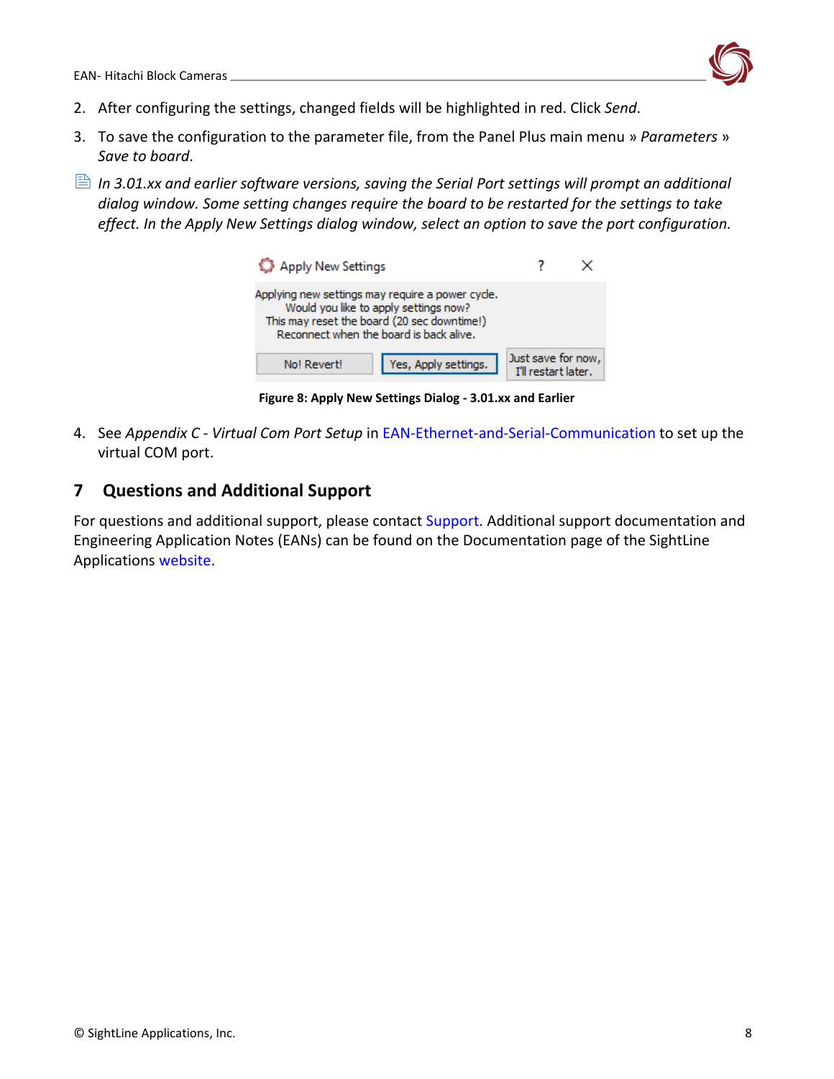

- 2. After configuring the settings, changed fields will be highlighted in red. Click *Send*.
- 3. To save the configuration to the parameter file, from the Panel Plus main menu » *Parameters* » *Save to board*.
- *In 3.01.xx and earlier software versions, saving the Serial Port settings will prompt an additional dialog window. Some setting changes require the board to be restarted for the settings to take effect. In the Apply New Settings dialog window, select an option to save the port configuration.*

| Apply New Settings                                                                                                                                                                  |                                           |
|-------------------------------------------------------------------------------------------------------------------------------------------------------------------------------------|-------------------------------------------|
| Applying new settings may require a power cycle.<br>Would you like to apply settings now?<br>This may reset the board (20 sec downtime!)<br>Reconnect when the board is back alive. |                                           |
| Yes, Apply settings.<br>No! Revert!                                                                                                                                                 | Just save for now,<br>I'll restart later. |

**Figure 8: Apply New Settings Dialog - 3.01.xx and Earlier**

4. See *Appendix C - Virtual Com Port Setup* in [EAN-Ethernet-and-Serial-Communication](https://sightlineapplications.com/wp-content/uploads/EAN-Ethernet-and-Serial-Communication.pdf) to set up the virtual COM port.

# <span id="page-8-0"></span>**7 Questions and Additional Support**

For questions and additional support, please contact [Support.](mailto:support@sightlineapplications.com) Additional support documentation and Engineering Application Notes (EANs) can be found on the Documentation page of the SightLine Applications [website.](https://sightlineapplications.com/documentation/)